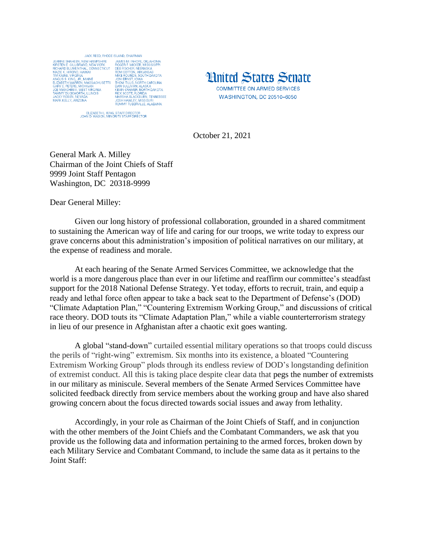

ELIZABETH L. KING, STAFF DIRECTOR<br>JOHN D. WASON, MINORITY STAFF DIRECTOR



October 21, 2021

General Mark A. Milley Chairman of the Joint Chiefs of Staff 9999 Joint Staff Pentagon Washington, DC 20318-9999

Dear General Milley:

Given our long history of professional collaboration, grounded in a shared commitment to sustaining the American way of life and caring for our troops, we write today to express our grave concerns about this administration's imposition of political narratives on our military, at the expense of readiness and morale.

At each hearing of the Senate Armed Services Committee, we acknowledge that the world is a more dangerous place than ever in our lifetime and reaffirm our committee's steadfast support for the 2018 National Defense Strategy. Yet today, efforts to recruit, train, and equip a ready and lethal force often appear to take a back seat to the Department of Defense's (DOD) "Climate Adaptation Plan," "Countering Extremism Working Group," and discussions of critical race theory. DOD touts its "Climate Adaptation Plan," while a viable counterterrorism strategy in lieu of our presence in Afghanistan after a chaotic exit goes wanting.

A global ["stand-down"](https://media.defense.gov/2021/Feb/05/2002577485/-1/-1/0/STAND-DOWN-TO-ADDRESS-EXTREMISM-IN-THE-RANKS.PDF) curtailed essential military operations so that troops could discuss the perils of "right-wing" extremism. Six months into its existence, a bloated "Countering Extremism Working Group" plods through its endless review of DOD's longstanding definition of extremist conduct. All this is taking place despite clear data that pegs the number of extremists in our military as miniscule. Several members of the Senate Armed Services Committee have solicited feedback directly from service members about the working group and have also shared growing concern about the focus directed towards social issues and away from lethality.

Accordingly, in your role as Chairman of the Joint Chiefs of Staff, and in conjunction with the other members of the Joint Chiefs and the Combatant Commanders, we ask that you provide us the following data and information pertaining to the armed forces, broken down by each Military Service and Combatant Command, to include the same data as it pertains to the Joint Staff: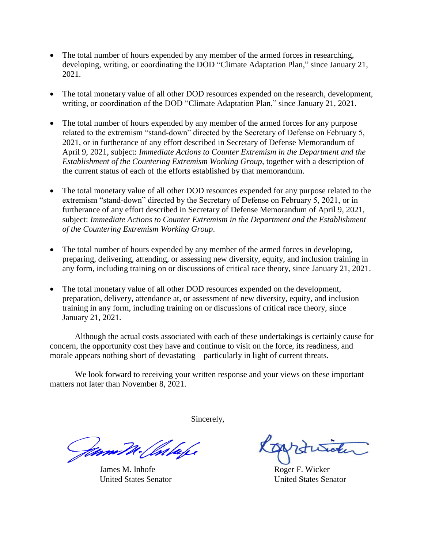- The total number of hours expended by any member of the armed forces in researching, developing, writing, or coordinating the DOD "Climate Adaptation Plan," since January 21, 2021.
- The total monetary value of all other DOD resources expended on the research, development, writing, or coordination of the DOD "Climate Adaptation Plan," since January 21, 2021.
- The total number of hours expended by any member of the armed forces for any purpose related to the extremism "stand-down" directed by the Secretary of Defense on February 5, 2021, or in furtherance of any effort described in Secretary of Defense Memorandum of April 9, 2021, subject: *Immediate Actions to Counter Extremism in the Department and the Establishment of the Countering Extremism Working Group*, together with a description of the current status of each of the efforts established by that memorandum.
- The total monetary value of all other DOD resources expended for any purpose related to the extremism "stand-down" directed by the Secretary of Defense on February 5, 2021, or in furtherance of any effort described in Secretary of Defense Memorandum of April 9, 2021, subject: *Immediate Actions to Counter Extremism in the Department and the Establishment of the Countering Extremism Working Group*.
- The total number of hours expended by any member of the armed forces in developing, preparing, delivering, attending, or assessing new diversity, equity, and inclusion training in any form, including training on or discussions of critical race theory, since January 21, 2021.
- The total monetary value of all other DOD resources expended on the development, preparation, delivery, attendance at, or assessment of new diversity, equity, and inclusion training in any form, including training on or discussions of critical race theory, since January 21, 2021.

Although the actual costs associated with each of these undertakings is certainly cause for concern, the opportunity cost they have and continue to visit on the force, its readiness, and morale appears nothing short of devastating—particularly in light of current threats.

We look forward to receiving your written response and your views on these important matters not later than November 8, 2021.

Sincerely,

James M. Inhofe Roger F. Wicker United States Senator United States Senator